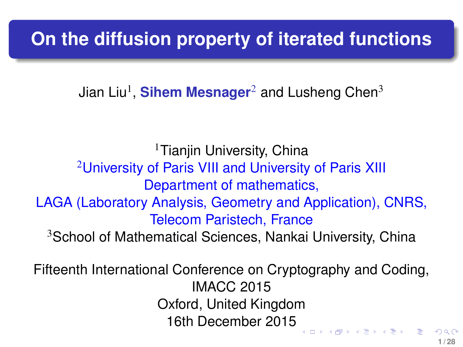# <span id="page-0-0"></span>**On the diffusion property of iterated functions**

Jian Liu<sup>1</sup>, **Sihem Mesnager**<sup>2</sup> and Lusheng Chen<sup>3</sup>

<sup>1</sup>Tianjin University, China <sup>2</sup>University of Paris VIII and University of Paris XIII Department of mathematics, LAGA (Laboratory Analysis, Geometry and Application), CNRS, Telecom Paristech, France <sup>3</sup>School of Mathematical Sciences, Nankai University, China

Fifteenth International Conference on Cryptography and Coding, IMACC 2015 Oxford, United Kingdom 16th December 2015 

**1 / 28**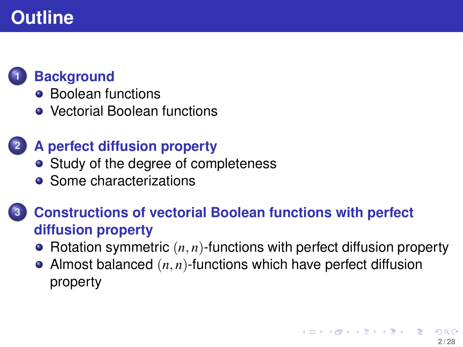# <span id="page-1-0"></span>**Outline**



## **1 [Background](#page-2-0)**

- **[Boolean functions](#page-2-0)**
- [Vectorial Boolean functions](#page-5-0)

## **2 [A perfect diffusion property](#page-8-0)**

- [Study of the degree of completeness](#page-8-0)
- [Some characterizations](#page-8-0)

## **3 [Constructions of vectorial Boolean functions with perfect](#page-11-0) [diffusion property](#page-11-0)**

- Rotation symmetric  $(n, n)$ [-functions with perfect diffusion property](#page-13-0)
- Almost balanced (*n*, *n*)[-functions which have perfect diffusion](#page-23-0) [property](#page-23-0)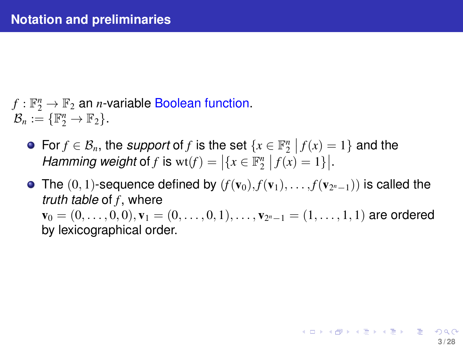- <span id="page-2-0"></span> $f: \mathbb{F}_2^n \to \mathbb{F}_2$  an *n*-variable Boolean function.  $\mathcal{B}_n := \{ \mathbb{F}_2^n \to \mathbb{F}_2 \}.$ 
	- For  $f \in \mathcal{B}_n$ , the *support* of *f* is the set  $\{x \in \mathbb{F}_2^n \mid f(x) = 1\}$  and the *Hamming weight* of *f* is  $wt(f) = |\{x \in \mathbb{F}_2^n | f(x) = 1\}|$ .
	- The  $(0,1)$ -sequence defined by  $(f(\mathbf{v}_0), f(\mathbf{v}_1), \ldots, f(\mathbf{v}_{2^n-1}))$  is called the *truth table* of *f* , where  ${\bf v}_0 = (0,\ldots,0,0), {\bf v}_1 = (0,\ldots,0,1), \ldots, {\bf v}_{2^n-1} = (1,\ldots,1,1)$  are ordered by lexicographical order.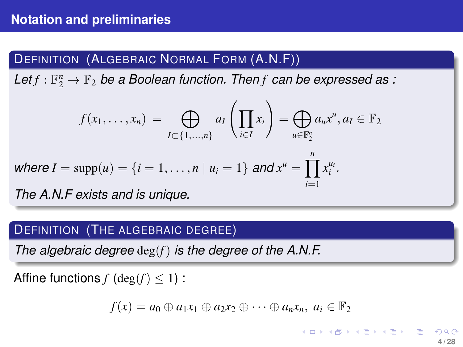## DEFINITION (ALGEBRAIC NORMAL FORM (A.N.F))

Let $f: \mathbb{F}_2^n \to \mathbb{F}_2$  be a Boolean function. Then *f* can be expressed as :

$$
f(x_1,\ldots,x_n) = \bigoplus_{I \subset \{1,\ldots,n\}} a_I\left(\prod_{i \in I} x_i\right) = \bigoplus_{u \in \mathbb{F}_2^n} a_u x^u, a_I \in \mathbb{F}_2
$$

where 
$$
I = \text{supp}(u) = \{i = 1, ..., n | u_i = 1\}
$$
 and  $x^u = \prod_{i=1}^n x_i^{u_i}$ .

*The A.N.F exists and is unique.*

#### DEFINITION (THE ALGEBRAIC DEGREE)

*The algebraic degree* deg(*f*) *is the degree of the A.N.F.*

Affine functions  $f$  (deg( $f$ )  $\leq$  1) :

$$
f(x) = a_0 \oplus a_1x_1 \oplus a_2x_2 \oplus \cdots \oplus a_nx_n, \ a_i \in \mathbb{F}_2
$$

**K ロ ▶ K 伺 ▶ K ヨ ▶ K ヨ ▶**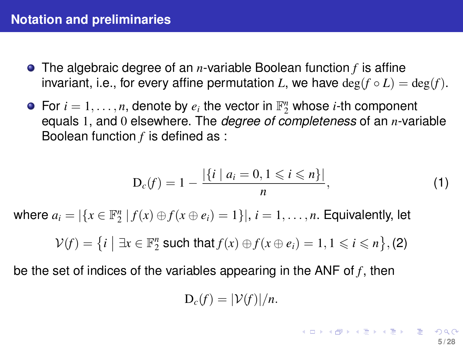### <span id="page-4-0"></span>**Notation and preliminaries**

- The algebraic degree of an *n*-variable Boolean function *f* is affine invariant, i.e., for every affine permutation *L*, we have  $\deg(f \circ L) = \deg(f)$ .
- For  $i = 1, \ldots, n$ , denote by  $e_i$  the vector in  $\mathbb{F}_2^n$  whose *i*-th component equals 1, and 0 elsewhere. The *degree of completeness* of an *n*-variable Boolean function *f* is defined as :

$$
D_c(f) = 1 - \frac{|\{i \mid a_i = 0, 1 \leq i \leq n\}|}{n}, \tag{1}
$$

where  $a_i = |\{x \in \mathbb{F}_2^n \mid f(x) \oplus f(x \oplus e_i) = 1\}|, i = 1, \ldots, n$ . Equivalently, let

 $\mathcal{V}(f) = \{i \mid \exists x \in \mathbb{F}_2^n \text{ such that } f(x) \oplus f(x \oplus e_i) = 1, 1 \leq i \leq n\},$  (2)

be the set of indices of the variables appearing in the ANF of *f* , then

$$
D_c(f)=|\mathcal{V}(f)|/n.
$$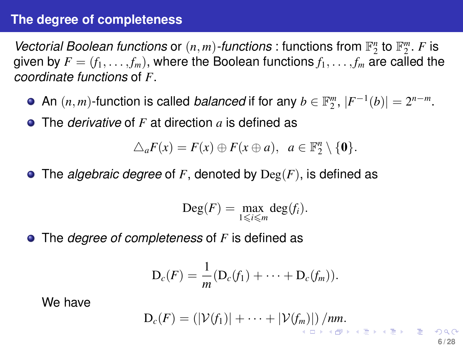### <span id="page-5-0"></span>**The degree of completeness**

*Vectorial Boolean functions* or  $(n, m)$ -functions : functions from  $\mathbb{F}_2^n$  to  $\mathbb{F}_2^m$ . *F* is given by  $F = (f_1, \ldots, f_m)$ , where the Boolean functions  $f_1, \ldots, f_m$  are called the *coordinate functions* of *F*.

- An  $(n, m)$ -function is called *balanced* if for any  $b \in \mathbb{F}_2^m$ ,  $|F^{-1}(b)| = 2^{n-m}$ .
- The *derivative* of *F* at direction *a* is defined as

 $\triangle_a F(x) = F(x) \oplus F(x \oplus a), \ \ a \in \mathbb{F}_2^n \setminus \{0\}.$ 

The *algebraic degree* of *F*, denoted by Deg(*F*), is defined as

$$
\operatorname{Deg}(F)=\max_{1\leqslant i\leqslant m}\operatorname{deg}(f_i).
$$

The *degree of completeness* of *F* is defined as

$$
D_c(F) = \frac{1}{m}(D_c(f_1) + \cdots + D_c(f_m)).
$$

We have

$$
D_c(F) = (|\mathcal{V}(f_1)| + \cdots + |\mathcal{V}(f_m)|) / nm.
$$

**6 / 28**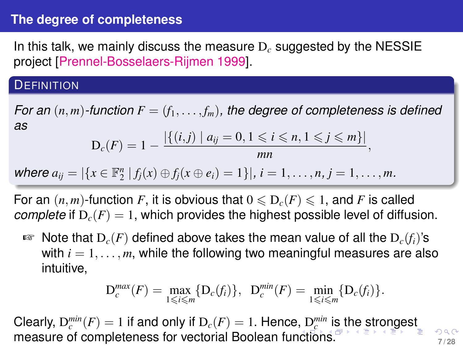### <span id="page-6-0"></span>**The degree of completeness**

In this talk, we mainly discuss the measure D*<sup>c</sup>* suggested by the NESSIE project [Prennel-Bosselaers-Rijmen 1999].

#### **DEFINITION**

*For an*  $(n, m)$ *-function*  $F = (f_1, \ldots, f_m)$ *, the degree of completeness is defined as*

$$
D_c(F) = 1 - \frac{|\{(i,j) \mid a_{ij} = 0, 1 \leq i \leq n, 1 \leq j \leq m\}|}{mn}
$$

,

where  $a_{ij} = |\{x \in \mathbb{F}_2^n | f_j(x) \oplus f_j(x \oplus e_i) = 1\}|, i = 1, ..., n, j = 1, ..., m.$ 

For an  $(n, m)$ -function *F*, it is obvious that  $0 \le D_c(F) \le 1$ , and *F* is called *complete* if  $D_c(F) = 1$ , which provides the highest possible level of diffusion.

☞ Note that D*c*(*F*) defined above takes the mean value of all the D*c*(*fi*)'s with  $i = 1, \ldots, m$ , while the following two meaningful measures are also intuitive,

$$
\mathcal{D}_c^{max}(F) = \max_{1 \leq i \leq m} \{ \mathcal{D}_c(f_i) \}, \ \mathcal{D}_c^{min}(F) = \min_{1 \leq i \leq m} \{ \mathcal{D}_c(f_i) \}.
$$

Cl[e](#page-8-0)arly, $D_c^{min}(F) = 1$  $D_c^{min}(F) = 1$  $D_c^{min}(F) = 1$  if and [o](#page-1-0)nly if  $D_c(F) = 1$ . Hence,  $D_c^{min}$  [is](#page-6-0) [th](#page-7-0)e [s](#page-7-0)[tr](#page-8-0)on[g](#page-7-0)e[st](#page-0-0) measure of completeness for vectorial Boolean fu[nct](#page-5-0)i[on](#page-7-0)[s.](#page-5-0)<sup> *P*</sup>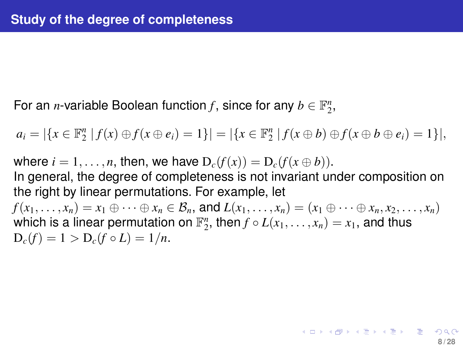<span id="page-7-0"></span>For an *n*-variable Boolean function f, since for any  $b \in \mathbb{F}_2^n$ ,

 $a_i = |\{x \in \mathbb{F}_2^n | f(x) \oplus f(x \oplus e_i) = 1\}| = |\{x \in \mathbb{F}_2^n | f(x \oplus b) \oplus f(x \oplus b \oplus e_i) = 1\}|,$ 

where  $i = 1, \ldots, n$ , then, we have  $D_c(f(x)) = D_c(f(x \oplus b))$ . In general, the degree of completeness is not invariant under composition on the right by linear permutations. For example, let  $f(x_1,\ldots,x_n)=x_1\oplus\cdots\oplus x_n\in\mathcal{B}_n$ , and  $L(x_1,\ldots,x_n)=(x_1\oplus\cdots\oplus x_n,x_2,\ldots,x_n)$ which is a linear permutation on  $\mathbb{F}_2^n$ , then  $f \circ L(x_1, \ldots, x_n) = x_1$ , and thus  $D_c(f) = 1 > D_c(f \circ L) = 1/n$ .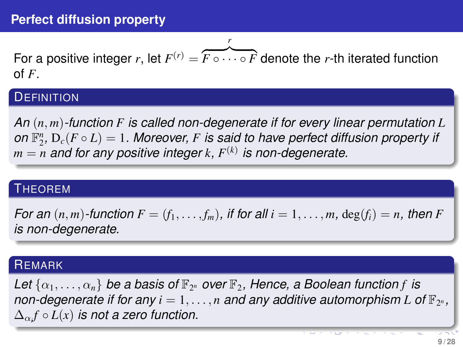<span id="page-8-0"></span>For a positive integer *r*, let  $F^{(r)} = \overbrace{F \circ \cdots \circ F}$  denote the *r*-th iterated function *r* of *F*.

#### **DEFINITION**

*An* (*n*, *m*)*-function F is called non-degenerate if for every linear permutation L on*  $\mathbb{F}_2^n$ ,  $D_c(F \circ L) = 1$ . Moreover, *F* is said to have perfect diffusion property if  $m = n$  and for any positive integer  $k$ ,  $F^{(k)}$  is non-degenerate.

#### THEOREM

*For an*  $(n, m)$ *-function*  $F = (f_1, \ldots, f_m)$ *, if for all*  $i = 1, \ldots, m$ *, deg* $(f_i) = n$ *, then F is non-degenerate.*

#### **REMARK**

Let  $\{\alpha_1, \ldots, \alpha_n\}$  be a basis of  $\mathbb{F}_{2^n}$  over  $\mathbb{F}_2$ , Hence, a Boolean function f is non-degenerate if for any  $i = 1, ..., n$  and any additive automorphism L of  $\mathbb{F}_{2^n}$ ,  $\Delta_{\alpha_i} f \circ L(x)$  *is not a zero function.*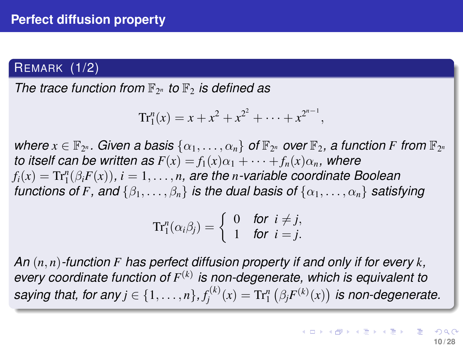#### REMARK (1/2)

*The trace function from*  $\mathbb{F}_{2^n}$  *to*  $\mathbb{F}_2$  *is defined as* 

$$
Tr_1^n(x) = x + x^2 + x^{2^2} + \cdots + x^{2^{n-1}},
$$

 $\mathbf{w}$  *here*  $x \in \mathbb{F}_{2^n}$ . Given a basis  $\{\alpha_1, \ldots, \alpha_n\}$  of  $\mathbb{F}_{2^n}$  over  $\mathbb{F}_2$ , a function F from  $\mathbb{F}_{2^n}$ *to itself can be written as*  $F(x) = f_1(x)\alpha_1 + \cdots + f_n(x)\alpha_n$ *, where*  $f_i(x) = \mathrm{Tr}^n_1(\beta_i F(x)), i = 1, \ldots, n$ , are the *n-variable coordinate Boolean functions of F, and*  $\{\beta_1, \ldots, \beta_n\}$  *is the dual basis of*  $\{\alpha_1, \ldots, \alpha_n\}$  *satisfying* 

$$
\mathrm{Tr}^n_1(\alpha_i\beta_j)=\left\{\begin{array}{ll}0 & \text{for } i\neq j,\\ 1 & \text{for } i=j.\end{array}\right.
$$

*An* (*n*, *n*)*-function F has perfect diffusion property if and only if for every k, every coordinate function of F* (*k*) *is non-degenerate, which is equivalent to* saying that, for any  $j \in \{1, \ldots, n\}$ ,  $f_j^{(k)}(x) = \text{Tr}_1^n\left(\beta_j F^{(k)}(x)\right)$  is non-degenerate.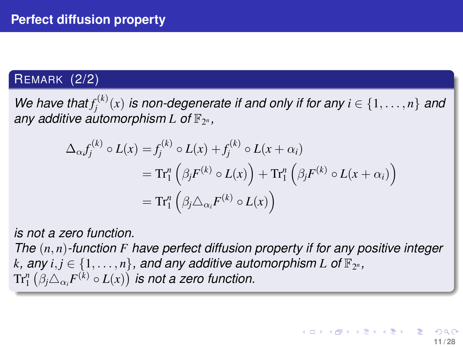## <span id="page-10-0"></span>REMARK (2/2)

*We have that*  $f_j^{(k)}(x)$  *is non-degenerate if and only if for any*  $i \in \{1, \ldots, n\}$  *and* any additive automorphism L of  $\mathbb{F}_{2^n}$ ,

$$
\Delta_{\alpha} f_j^{(k)} \circ L(x) = f_j^{(k)} \circ L(x) + f_j^{(k)} \circ L(x + \alpha_i)
$$
  
=  $\text{Tr}_1^n \left( \beta_j F^{(k)} \circ L(x) \right) + \text{Tr}_1^n \left( \beta_j F^{(k)} \circ L(x + \alpha_i) \right)$   
=  $\text{Tr}_1^n \left( \beta_j \Delta_{\alpha_i} F^{(k)} \circ L(x) \right)$ 

*is not a zero function. The* (*n*, *n*)*-function F have perfect diffusion property if for any positive integer*  $k$ , any  $i, j \in \{1, \ldots, n\}$ , and any additive automorphism  $L$  of  $\mathbb{F}_{2^n}$ ,  $\text{Tr}^n_1\left(\beta_j\triangle_{\alpha_i}F^{(k)}\circ L(x)\right)$  is not a zero function.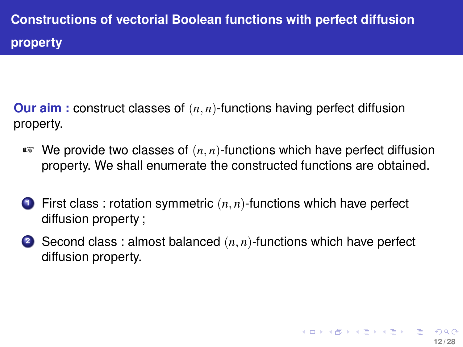<span id="page-11-0"></span>**Our aim :** construct classes of (*n*, *n*)-functions having perfect diffusion property.

- ☞ We provide two classes of (*n*, *n*)-functions which have perfect diffusion property. We shall enumerate the constructed functions are obtained.
- **<sup>1</sup>** First class : rotation symmetric (*n*, *n*)-functions which have perfect diffusion property ;
- **<sup>2</sup>** Second class : almost balanced (*n*, *n*)-functions which have perfect diffusion property.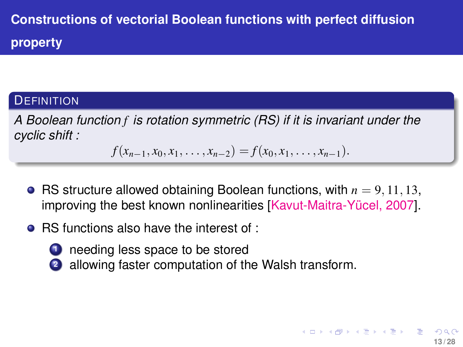## **DEFINITION**

*A Boolean function f is rotation symmetric (RS) if it is invariant under the cyclic shift :*

 $f(x_{n-1}, x_0, x_1, \ldots, x_{n-2}) = f(x_0, x_1, \ldots, x_{n-1}).$ 

• RS structure allowed obtaining Boolean functions, with  $n = 9, 11, 13$ . improving the best known nonlinearities [Kavut-Maitra-Yücel, 2007].

**13 / 28**

 $\left\{ \begin{array}{ccc} \square & \times & \overline{c} & \overline{c} & \rightarrow & \times & \overline{c} & \rightarrow & \overline{c} & \rightarrow & \overline{c} & \rightarrow & \overline{c} & \rightarrow & \overline{c} & \rightarrow & \overline{c} & \rightarrow & \overline{c} & \rightarrow & \overline{c} & \rightarrow & \overline{c} & \rightarrow & \overline{c} & \rightarrow & \overline{c} & \rightarrow & \overline{c} & \rightarrow & \overline{c} & \rightarrow & \overline{c} & \rightarrow & \overline{c} & \rightarrow & \overline{c} & \rightarrow & \overline{c} & \rightarrow & \overline{c} & \rightarrow & \overline$ 

- RS functions also have the interest of :
	- **1** needing less space to be stored
		- **<sup>2</sup>** allowing faster computation of the Walsh transform.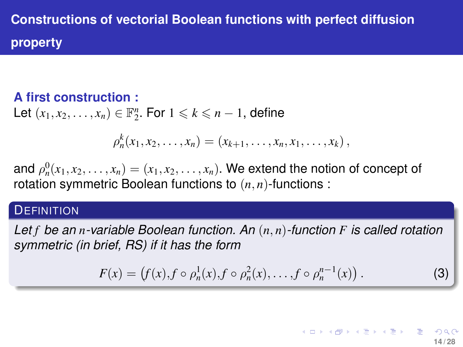## <span id="page-13-0"></span>**A first construction :**

Let  $(x_1, x_2, \ldots, x_n) \in \mathbb{F}_2^n$ . For  $1 \leq k \leq n-1$ , define

$$
\rho_n^k(x_1, x_2, \ldots, x_n) = (x_{k+1}, \ldots, x_n, x_1, \ldots, x_k),
$$

and  $\rho_n^0(x_1, x_2, \ldots, x_n) = (x_1, x_2, \ldots, x_n)$ . We extend the notion of concept of rotation symmetric Boolean functions to (*n*, *n*)-functions :

#### **DEFINITION**

*Let f be an n-variable Boolean function. An* (*n*, *n*)*-function F is called rotation symmetric (in brief, RS) if it has the form*

$$
F(x) = (f(x), f \circ \rho_n^1(x), f \circ \rho_n^2(x), \dots, f \circ \rho_n^{n-1}(x)).
$$
 (3)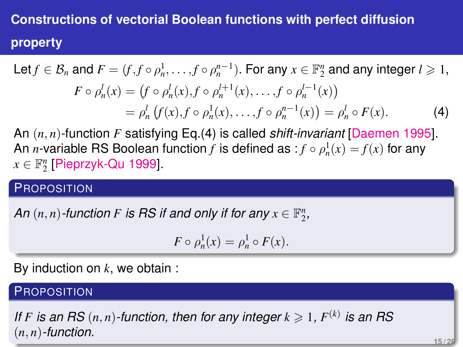Let 
$$
f \in \mathcal{B}_n
$$
 and  $F = (f, f \circ \rho_n^1, \dots, f \circ \rho_n^{n-1})$ . For any  $x \in \mathbb{F}_2^n$  and any integer  $l \ge 1$ ,  
\n
$$
F \circ \rho_n^l(x) = (f \circ \rho_n^l(x), f \circ \rho_n^{l+1}(x), \dots, f \circ \rho_n^{l-1}(x))
$$
\n
$$
= \rho_n^l (f(x), f \circ \rho_n^1(x), \dots, f \circ \rho_n^{n-1}(x)) = \rho_n^l \circ F(x).
$$
\n(4)

<span id="page-14-0"></span>An (*n*, *n*)-function *F* satisfying Eq.[\(4\)](#page-14-0) is called *shift-invariant* [Daemen 1995]. An *n*-variable RS Boolean function *f* is defined as  $:f \circ \rho_n^1(x) = f(x)$  for any  $x \in \mathbb{F}_2^n$  [Pieprzyk-Qu 1999].

#### **PROPOSITION**

*An*  $(n, n)$ -function *F* is RS if and only if for any  $x \in \mathbb{F}_2^n$ ,

$$
F \circ \rho_n^1(x) = \rho_n^1 \circ F(x).
$$

By induction on *k*, we obtain :

#### **PROPOSITION**

*If F* is an RS  $(n, n)$ -function, then for any integer  $k \geqslant 1$ ,  $F^{(k)}$  is an RS (*n*, *n*)*-function.*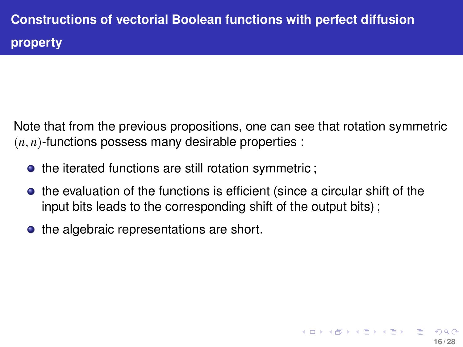Note that from the previous propositions, one can see that rotation symmetric  $(n, n)$ -functions possess many desirable properties :

- the iterated functions are still rotation symmetric;
- the evaluation of the functions is efficient (since a circular shift of the input bits leads to the corresponding shift of the output bits) ;

**16 / 28**

 $($   $\Box$   $\rightarrow$   $($  $\Box$   $\rightarrow$   $($   $\Box$   $\rightarrow$   $\Box$   $\rightarrow$   $\Box$   $\rightarrow$ 

• the algebraic representations are short.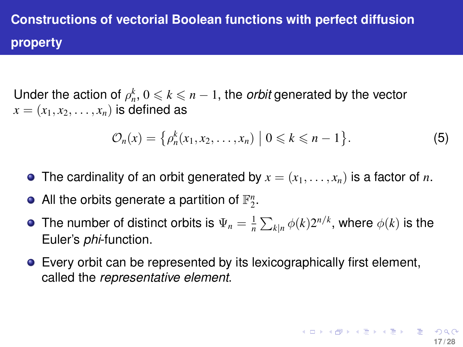Under the action of  $\rho_n^k$ ,  $0 \leqslant k \leqslant n-1$ , the *orbit* generated by the vector  $x = (x_1, x_2, \ldots, x_n)$  is defined as

$$
\mathcal{O}_n(x) = \left\{ \rho_n^k(x_1, x_2, \dots, x_n) \mid 0 \leq k \leq n-1 \right\}.
$$
 (5)

- The cardinality of an orbit generated by  $x = (x_1, \ldots, x_n)$  is a factor of *n*.
- All the orbits generate a partition of  $\mathbb{F}_2^n$ .
- The number of distinct orbits is  $\Psi_n = \frac{1}{n} \sum_{k|n} \phi(k) 2^{n/k}$ , where  $\phi(k)$  is the Euler's *phi*-function.
- Every orbit can be represented by its lexicographically first element, called the *representative element*.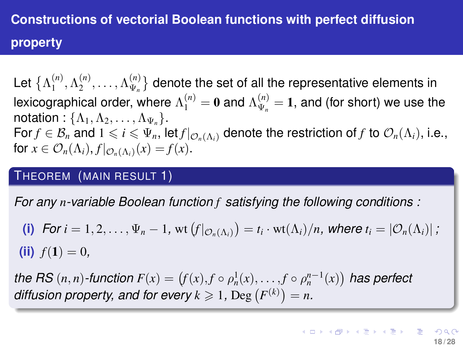Let  $\{\Lambda_1^{(n)}\}$  $\Lambda_1^{(n)}, \Lambda_2^{(n)}$  $\Lambda_{\Psi_n}^{(n)}, \ldots, \Lambda_{\Psi_n}^{(n)}$  $\mathbb{V}_{\Psi_n}^{(n)}$ } denote the set of all the representative elements in lexicographical order, where  $\Lambda^{(n)}_1 = \mathbf{0}$  and  $\Lambda^{(n)}_{\Psi_n}$  $\mathcal{P}_{\Psi_n}^{(n)} = 1$ , and (for short) we use the notation :  $\{\Lambda_1, \Lambda_2, \ldots, \Lambda_{\Psi_n}\}.$ For  $f \in \mathcal{B}_n$  and  $1 \leq i \leq \Psi_n$ , let  $f|_{\mathcal{O}_n(\Lambda_i)}$  denote the restriction of  $f$  to  $\mathcal{O}_n(\Lambda_i)$ , i.e., for  $x \in \mathcal{O}_n(\Lambda_i)$ ,  $f|_{\mathcal{O}_n(\Lambda_i)}(x) = f(x)$ .

#### THEOREM (MAIN RESULT 1)

*For any n-variable Boolean function f satisfying the following conditions :*

(i) For 
$$
i = 1, 2, ..., \Psi_n - 1
$$
, wt  $(f|_{\mathcal{O}_n(\Lambda_i)}) = t_i \cdot \text{wt}(\Lambda_i)/n$ , where  $t_i = |\mathcal{O}_n(\Lambda_i)|$ ;  
(ii)  $f(1) = 0$ ,

*the RS*  $(n, n)$ *-function*  $F(x) = (f(x), f \circ \rho_n^1(x), \ldots, f \circ \rho_n^{n-1}(x))$  has perfect *diffusion property, and for every*  $k \ge 1$ , Deg  $(F^{(k)}) = n$ .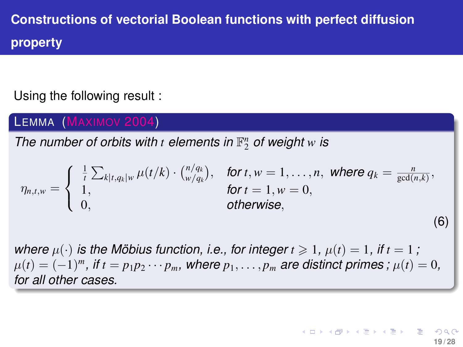Using the following result :

LEMMA (MAXIMOV 2004)

The number of orbits with  $t$  elements in  $\mathbb{F}_2^n$  of weight  $w$  is

$$
\eta_{n,t,w} = \begin{cases} \frac{1}{t} \sum_{k|t,q_k|w} \mu(t/k) \cdot {n/q_k \choose w/q_k}, & \text{for } t, w = 1, \ldots, n, \text{ where } q_k = \frac{n}{\gcd(n,k)},\\ 1, & \text{for } t = 1, w = 0, \\ 0, & \text{otherwise,} \end{cases}
$$

*where*  $\mu(\cdot)$  *is the Möbius function, i.e., for integer*  $t \ge 1$ ,  $\mu(t) = 1$ , *if*  $t = 1$ ;  $\mu(t) = (-1)^m$ *, if*  $t = p_1 p_2 \cdots p_m$ *, where*  $p_1, \ldots, p_m$  are distinct primes ;  $\mu(t) = 0$ *, for all other cases.*

(6)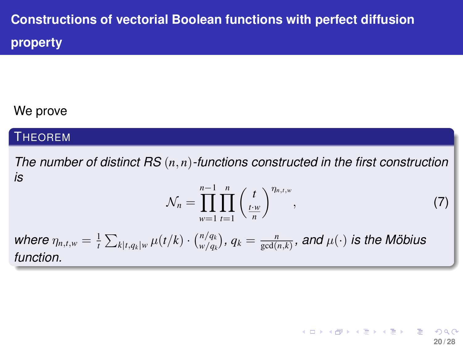### We prove

### **THEOREM**

*The number of distinct RS* (*n*, *n*)*-functions constructed in the first construction is*

$$
\mathcal{N}_n = \prod_{w=1}^{n-1} \prod_{t=1}^n \left(\frac{t}{\frac{t \cdot w}{n}}\right)^{\eta_{n,t,w}},\tag{7}
$$

**20 / 28**

イロンス個人 スミンスミント ミー

*where*  $\eta_{n,t,w} = \frac{1}{t} \sum_{k|t,q_k|w} \mu(t/k) \cdot {n/q_k \choose w/q_k}$  $\binom{n/q_k}{w/q_k},\, q_k=\frac{n}{\gcd(n,k)},\,$  and  $\mu(\cdot)$  *is the Möbius function.*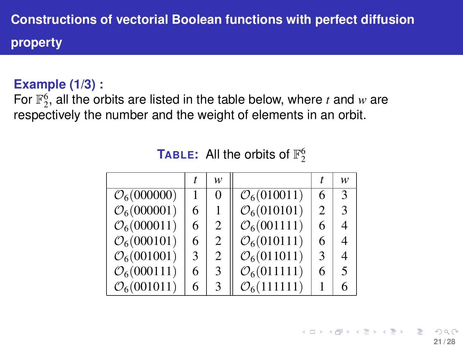### **Example (1/3) :**

For  $\mathbb{F}_2^6$ , all the orbits are listed in the table below, where *t* and *w* are respectively the number and the weight of elements in an orbit.

| <b>TABLE:</b> All the orbits of $\mathbb{F}_2^6$ |  |
|--------------------------------------------------|--|
|--------------------------------------------------|--|

|                         |   | w                           |                         |                | w             |
|-------------------------|---|-----------------------------|-------------------------|----------------|---------------|
| $\mathcal{O}_6(000000)$ |   | $\theta$                    | $\mathcal{O}_6(010011)$ | 6              | $\mathcal{R}$ |
| $\mathcal{O}_6(000001)$ | 6 |                             | $\mathcal{O}_6(010101)$ | $\mathfrak{D}$ | $\mathcal{E}$ |
| $\mathcal{O}_6(000011)$ | 6 | 2                           | $\mathcal{O}_6(001111)$ | 6              | 4             |
| $\mathcal{O}_6(000101)$ | 6 | 2                           | $\mathcal{O}_6(010111)$ | 6              | 4             |
| $\mathcal{O}_6(001001)$ | 3 | $\mathcal{D}_{\mathcal{L}}$ | $\mathcal{O}_6(011011)$ | 3              | 4             |
| $\mathcal{O}_6(000111)$ | 6 | 3                           | $\mathcal{O}_6(011111)$ | 6              | 5             |
| $\mathcal{O}_6(001011)$ | 6 | 3                           | $\mathcal{O}_6(111111)$ |                | 6             |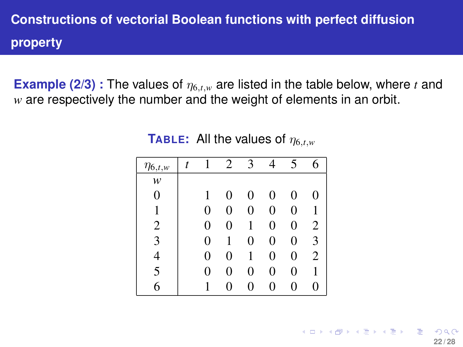**Example (2/3)** : The values of  $\eta_{6,t,w}$  are listed in the table below, where *t* and *w* are respectively the number and the weight of elements in an orbit.

| $\eta_{6,t,w}$ | t |   | 2 | 3 | 4 | 5 | 6              |
|----------------|---|---|---|---|---|---|----------------|
| w              |   |   |   |   |   |   |                |
| 0              |   |   | 0 | 0 | 0 | 0 | 0              |
| 1              |   | 0 | 0 | 0 | 0 | 0 |                |
| $\overline{c}$ |   | 0 | 0 |   | 0 | 0 | $\overline{c}$ |
| 3              |   | 0 | 1 | 0 | 0 | 0 | 3              |
|                |   | 0 | 0 |   | 0 | 0 | 2              |
| 5              |   | 0 | 0 | 0 | 0 | 0 |                |
| 6              |   |   | 0 | 0 | 0 | 0 | 0              |

**TABLE:** All the values of  $\eta_{6,t,w}$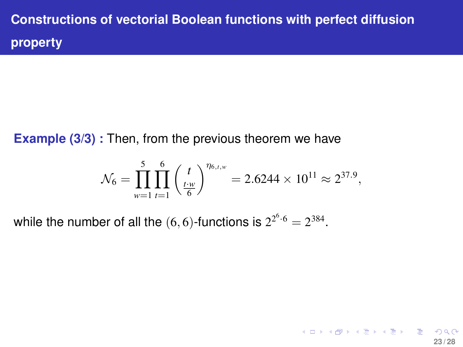<span id="page-22-0"></span>**Example (3/3) :** Then, from the previous theorem we have

$$
\mathcal{N}_6 = \prod_{w=1}^5 \prod_{t=1}^6 \left(\frac{t}{\frac{t \cdot w}{6}}\right)^{\eta_{6,t,w}} = 2.6244 \times 10^{11} \approx 2^{37.9},
$$

**23 / 28**

K ロ ▶ K @ ▶ K 할 > K 할 > 1 할 | X 9 Q Q

while the number of all the  $(6, 6)$ -functions is  $2^{2^6 \cdot 6} = 2^{384}$ .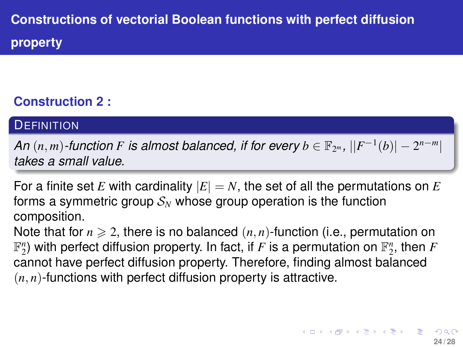## <span id="page-23-0"></span>**Construction 2 :**

#### **DEFINITION**

*An*  $(n, m)$ -function *F* is almost balanced, if for every  $b \in \mathbb{F}_{2^m}$ ,  $||F^{-1}(b)| - 2^{n-m}$ *takes a small value.*

For a finite set *E* with cardinality  $|E| = N$ , the set of all the permutations on *E* forms a symmetric group  $S_N$  whose group operation is the function composition.

Note that for  $n \geq 2$ , there is no balanced  $(n, n)$ -function (i.e., permutation on  $\mathbb{F}_2^n$ ) with perfect diffusion property. In fact, if  $F$  is a permutation on  $\mathbb{F}_2^n$ , then  $F$ cannot have perfect diffusion property. Therefore, finding almost balanced  $(n, n)$ -functions with perfect diffusion property is attractive.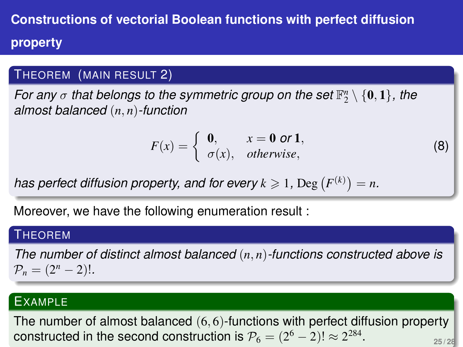#### <span id="page-24-0"></span>THEOREM (MAIN RESULT 2)

*For any*  $\sigma$  that belongs to the symmetric group on the set  $\mathbb{F}_2^n \setminus \{0,1\}$ , the *almost balanced* (*n*, *n*)*-function*

<span id="page-24-1"></span>
$$
F(x) = \begin{cases} 0, & x = 0 \text{ or } 1, \\ \sigma(x), & otherwise, \end{cases}
$$

(8)

has perfect diffusion property, and for every  $k \geqslant 1$ ,  $\text{Deg}(F^{(k)}) = n$ .

Moreover, we have the following enumeration result :

#### **THEOREM**

*The number of distinct almost balanced* (*n*, *n*)*-functions constructed above is*  $P_n = (2^n - 2)!$ .

### EXAMPLE

The number of almost balanced (6, 6)-functions with perfect d[if](#page-23-0)[fus](#page-27-0)[i](#page-10-0)[o](#page-11-0)[n p](#page-27-0)[ro](#page-0-0)[pe](#page-27-0)rty constructed in the second construction is  $\mathcal{P}_6=(2^6-2)!\approx 2^{284}.$  $\mathcal{P}_6=(2^6-2)!\approx 2^{284}.$  $\mathcal{P}_6=(2^6-2)!\approx 2^{284}.$  $\mathcal{P}_6=(2^6-2)!\approx 2^{284}.$  $\mathcal{P}_6=(2^6-2)!\approx 2^{284}.$  $\mathcal{P}_6=(2^6-2)!\approx 2^{284}.$  $\mathcal{P}_6=(2^6-2)!\approx 2^{284}.$ **25 / 28**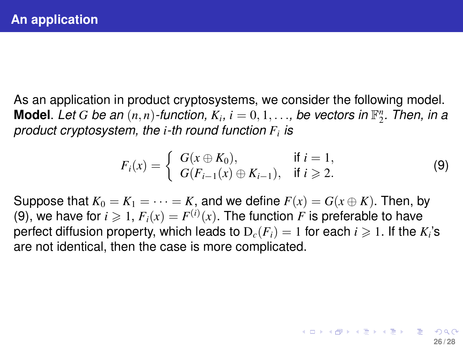<span id="page-25-0"></span>As an application in product cryptosystems, we consider the following model. **Model**. Let G be an  $(n, n)$ -function,  $K_i$ ,  $i = 0, 1, \ldots$ , be vectors in  $\mathbb{F}_2^n$ . Then, in a *product cryptosystem, the i-th round function F<sup>i</sup> is*

<span id="page-25-1"></span>
$$
F_i(x) = \begin{cases} G(x \oplus K_0), & \text{if } i = 1, \\ G(F_{i-1}(x) \oplus K_{i-1}), & \text{if } i \ge 2. \end{cases}
$$
 (9)

**26 / 28**

イロトメ 倒下 メミトメ ミトー 差

Suppose that  $K_0 = K_1 = \cdots = K$ , and we define  $F(x) = G(x \oplus K)$ . Then, by [\(9\)](#page-25-1), we have for  $i \geqslant 1$ ,  $F_i(x) = F^{(i)}(x)$ . The function  $F$  is preferable to have perfect diffusion property, which leads to  $D_c(F_i) = 1$  for each  $i \geqslant 1$ . If the  $K_i$ 's are not identical, then the case is more complicated.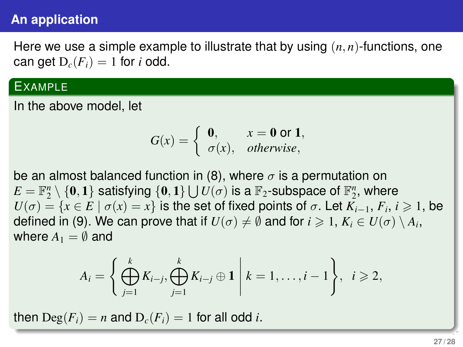### **An application**

Here we use a simple example to illustrate that by using (*n*, *n*)-functions, one can get  $D_c(F_i) = 1$  for *i* odd.

#### EXAMPLE

In the above model, let

$$
G(x) = \begin{cases} 0, & x = 0 \text{ or } 1, \\ \sigma(x), & otherwise, \end{cases}
$$

be an almost balanced function in [\(8\)](#page-24-1), where  $\sigma$  is a permutation on  $E = \mathbb{F}_2^n \setminus \{\mathbf{0},\mathbf{1}\}$  satisfying  $\{\mathbf{0},\mathbf{1}\} \bigcup U(\sigma)$  is a  $\mathbb{F}_2$ -subspace of  $\mathbb{F}_2^n$ , where  $U(\sigma) = \{x \in E \mid \sigma(x) = x\}$  is the set of fixed points of  $\sigma$ . Let  $\overline{K}_{i-1}, F_i, i \geqslant 1$ , be defined in [\(9\)](#page-25-1). We can prove that if  $U(\sigma) \neq \emptyset$  and for  $i \geqslant 1$ ,  $K_i \in U(\sigma) \setminus A_i$ , where  $A_1 = \emptyset$  and

$$
A_i = \left\{ \bigoplus_{j=1}^k K_{i-j}, \bigoplus_{j=1}^k K_{i-j} \oplus \mathbf{1} \middle| k = 1, \ldots, i-1 \right\}, \quad i \geqslant 2,
$$

then  $\text{Deg}(F_i) = n$  and  $D_c(F_i) = 1$  for all odd *i*.